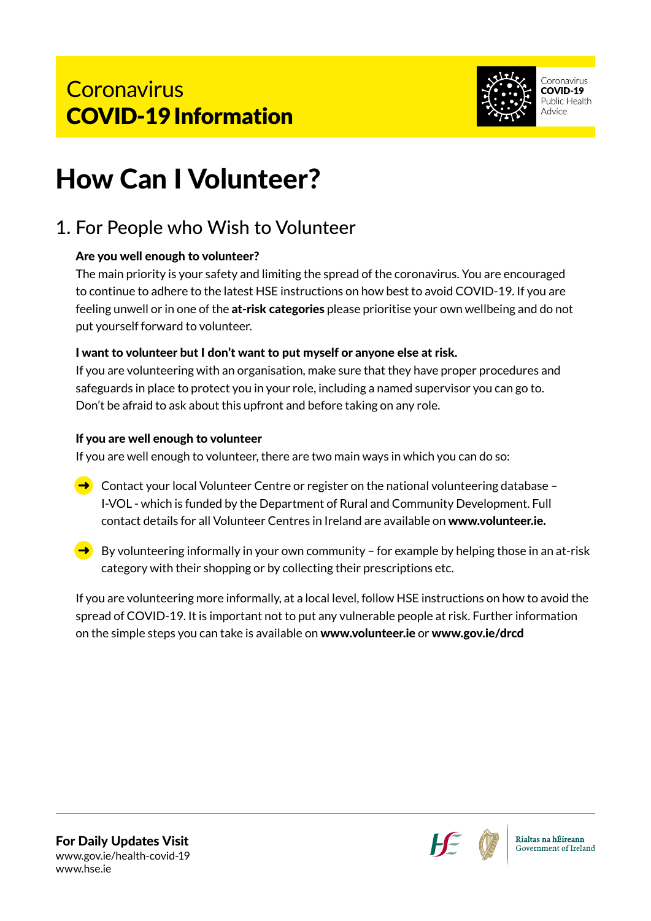

# How Can I Volunteer?

# 1. For People who Wish to Volunteer

#### Are you well enough to volunteer?

The main priority is your safety and limiting the spread of the coronavirus. You are encouraged to continue to adhere to the latest HSE instructions on how best to avoid COVID-19. If you are feeling unwell or in one of the at-risk categories please prioritise your own wellbeing and do not put yourself forward to volunteer.

#### I want to volunteer but I don't want to put myself or anyone else at risk.

If you are volunteering with an organisation, make sure that they have proper procedures and safeguards in place to protect you in your role, including a named supervisor you can go to. Don't be afraid to ask about this upfront and before taking on any role.

#### If you are well enough to volunteer

If you are well enough to volunteer, there are two main ways in which you can do so:

- $\rightarrow$  Contact your local Volunteer Centre or register on the national volunteering database -I-VOL - which is funded by the Department of Rural and Community Development. Full contact details for all Volunteer Centres in Ireland are available on www.volunteer.ie.
- $\rightarrow$  By volunteering informally in your own community for example by helping those in an at-risk category with their shopping or by collecting their prescriptions etc.

If you are volunteering more informally, at a local level, follow HSE instructions on how to avoid the spread of COVID-19. It is important not to put any vulnerable people at risk. Further information on the simple steps you can take is available on www.volunteer.ie or www.gov.ie/drcd